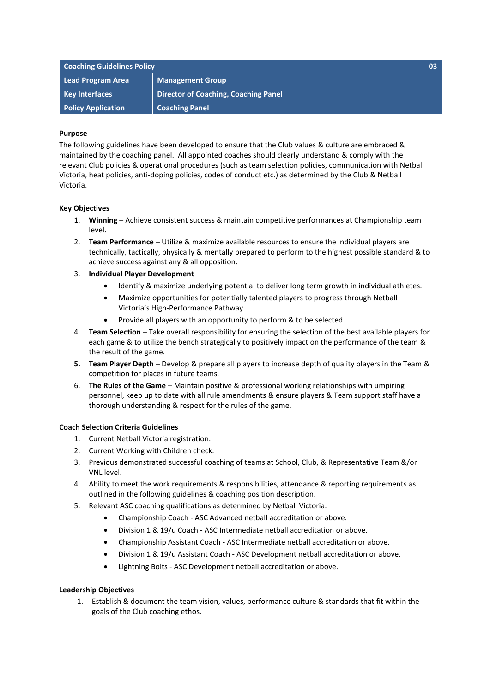| <b>Coaching Guidelines Policy</b> |                                             | 03 <sub>1</sub> |
|-----------------------------------|---------------------------------------------|-----------------|
| Lead Program Area                 | <b>Management Group</b>                     |                 |
| <b>Key Interfaces</b>             | <b>Director of Coaching, Coaching Panel</b> |                 |
| <b>Policy Application</b>         | <b>Coaching Panel</b>                       |                 |

#### **Purpose**

The following guidelines have been developed to ensure that the Club values & culture are embraced & maintained by the coaching panel. All appointed coaches should clearly understand & comply with the relevant Club policies & operational procedures (such as team selection policies, communication with Netball Victoria, heat policies, anti-doping policies, codes of conduct etc.) as determined by the Club & Netball Victoria.

## **Key Objectives**

- 1. **Winning** Achieve consistent success & maintain competitive performances at Championship team level.
- 2. **Team Performance** Utilize & maximize available resources to ensure the individual players are technically, tactically, physically & mentally prepared to perform to the highest possible standard & to achieve success against any & all opposition.
- 3. **Individual Player Development**
	- Identify & maximize underlying potential to deliver long term growth in individual athletes.
	- Maximize opportunities for potentially talented players to progress through Netball Victoria's High-Performance Pathway.
	- Provide all players with an opportunity to perform & to be selected.
- 4. **Team Selection** Take overall responsibility for ensuring the selection of the best available players for each game & to utilize the bench strategically to positively impact on the performance of the team & the result of the game.
- **5. Team Player Depth** Develop & prepare all players to increase depth of quality players in the Team & competition for places in future teams.
- 6. **The Rules of the Game** Maintain positive & professional working relationships with umpiring personnel, keep up to date with all rule amendments & ensure players & Team support staff have a thorough understanding & respect for the rules of the game.

## **Coach Selection Criteria Guidelines**

- 1. Current Netball Victoria registration.
- 2. Current Working with Children check.
- 3. Previous demonstrated successful coaching of teams at School, Club, & Representative Team &/or VNL level.
- 4. Ability to meet the work requirements & responsibilities, attendance & reporting requirements as outlined in the following guidelines & coaching position description.
- 5. Relevant ASC coaching qualifications as determined by Netball Victoria.
	- Championship Coach ASC Advanced netball accreditation or above.
	- Division 1 & 19/u Coach ASC Intermediate netball accreditation or above.
	- Championship Assistant Coach ASC Intermediate netball accreditation or above.
	- Division 1 & 19/u Assistant Coach ASC Development netball accreditation or above.
	- Lightning Bolts ASC Development netball accreditation or above.

## **Leadership Objectives**

1. Establish & document the team vision, values, performance culture & standards that fit within the goals of the Club coaching ethos.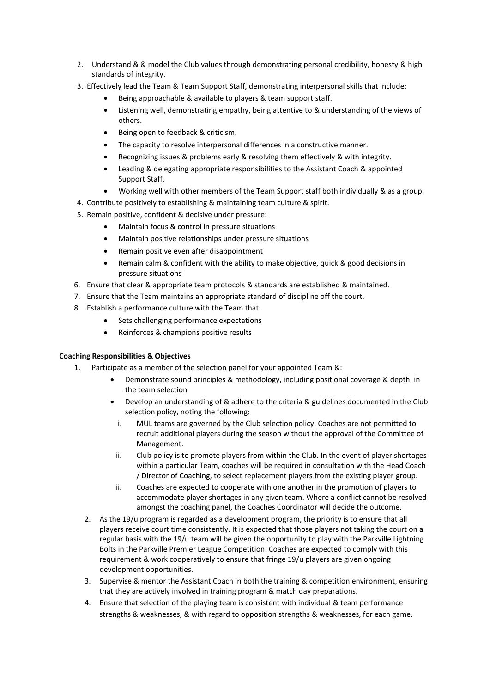- 2. Understand & & model the Club values through demonstrating personal credibility, honesty & high standards of integrity.
- 3. Effectively lead the Team & Team Support Staff, demonstrating interpersonal skills that include:
	- Being approachable & available to players & team support staff.
	- Listening well, demonstrating empathy, being attentive to & understanding of the views of others.
	- Being open to feedback & criticism.
	- The capacity to resolve interpersonal differences in a constructive manner.
	- Recognizing issues & problems early & resolving them effectively & with integrity.
	- Leading & delegating appropriate responsibilities to the Assistant Coach & appointed Support Staff.
	- Working well with other members of the Team Support staff both individually & as a group.
- 4. Contribute positively to establishing & maintaining team culture & spirit.
- 5. Remain positive, confident & decisive under pressure:
	- Maintain focus & control in pressure situations
	- Maintain positive relationships under pressure situations
	- Remain positive even after disappointment
	- Remain calm & confident with the ability to make objective, quick & good decisions in pressure situations
- 6. Ensure that clear & appropriate team protocols & standards are established & maintained.
- 7. Ensure that the Team maintains an appropriate standard of discipline off the court.
- 8. Establish a performance culture with the Team that:
	- Sets challenging performance expectations
	- Reinforces & champions positive results

## **Coaching Responsibilities & Objectives**

- 1. Participate as a member of the selection panel for your appointed Team &:
	- Demonstrate sound principles & methodology, including positional coverage & depth, in the team selection
	- Develop an understanding of & adhere to the criteria & guidelines documented in the Club selection policy, noting the following:
		- i. MUL teams are governed by the Club selection policy. Coaches are not permitted to recruit additional players during the season without the approval of the Committee of Management.
	- ii. Club policy is to promote players from within the Club. In the event of player shortages within a particular Team, coaches will be required in consultation with the Head Coach / Director of Coaching, to select replacement players from the existing player group.
	- iii. Coaches are expected to cooperate with one another in the promotion of players to accommodate player shortages in any given team. Where a conflict cannot be resolved amongst the coaching panel, the Coaches Coordinator will decide the outcome.
	- 2. As the 19/u program is regarded as a development program, the priority is to ensure that all players receive court time consistently. It is expected that those players not taking the court on a regular basis with the 19/u team will be given the opportunity to play with the Parkville Lightning Bolts in the Parkville Premier League Competition. Coaches are expected to comply with this requirement & work cooperatively to ensure that fringe 19/u players are given ongoing development opportunities.
	- 3. Supervise & mentor the Assistant Coach in both the training & competition environment, ensuring that they are actively involved in training program & match day preparations.
	- 4. Ensure that selection of the playing team is consistent with individual & team performance strengths & weaknesses, & with regard to opposition strengths & weaknesses, for each game.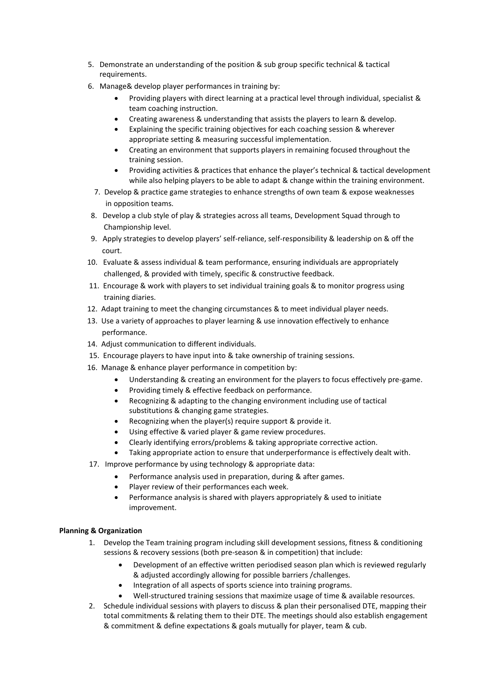- 5. Demonstrate an understanding of the position & sub group specific technical & tactical requirements.
- 6. Manage& develop player performances in training by:
	- Providing players with direct learning at a practical level through individual, specialist & team coaching instruction.
	- Creating awareness & understanding that assists the players to learn & develop.
	- Explaining the specific training objectives for each coaching session & wherever appropriate setting & measuring successful implementation.
	- Creating an environment that supports players in remaining focused throughout the training session.
	- Providing activities & practices that enhance the player's technical & tactical development while also helping players to be able to adapt & change within the training environment.
	- 7. Develop & practice game strategies to enhance strengths of own team & expose weaknesses in opposition teams.
- 8. Develop a club style of play & strategies across all teams, Development Squad through to Championship level.
- 9. Apply strategies to develop players' self-reliance, self-responsibility & leadership on & off the court.
- 10. Evaluate & assess individual & team performance, ensuring individuals are appropriately challenged, & provided with timely, specific & constructive feedback.
- 11. Encourage & work with players to set individual training goals & to monitor progress using training diaries.
- 12. Adapt training to meet the changing circumstances & to meet individual player needs.
- 13. Use a variety of approaches to player learning & use innovation effectively to enhance performance.
- 14. Adjust communication to different individuals.
- 15. Encourage players to have input into & take ownership of training sessions.
- 16. Manage & enhance player performance in competition by:
	- Understanding & creating an environment for the players to focus effectively pre-game.
	- Providing timely & effective feedback on performance.
	- Recognizing & adapting to the changing environment including use of tactical substitutions & changing game strategies.
	- Recognizing when the player(s) require support & provide it.
	- Using effective & varied player & game review procedures.
	- Clearly identifying errors/problems & taking appropriate corrective action.
	- Taking appropriate action to ensure that underperformance is effectively dealt with.
- 17. Improve performance by using technology & appropriate data:
	- Performance analysis used in preparation, during & after games.
	- Player review of their performances each week.
	- Performance analysis is shared with players appropriately & used to initiate improvement.

## **Planning & Organization**

- 1. Develop the Team training program including skill development sessions, fitness & conditioning sessions & recovery sessions (both pre-season & in competition) that include:
	- Development of an effective written periodised season plan which is reviewed regularly & adjusted accordingly allowing for possible barriers /challenges.
	- Integration of all aspects of sports science into training programs.
	- Well-structured training sessions that maximize usage of time & available resources.
- 2. Schedule individual sessions with players to discuss & plan their personalised DTE, mapping their total commitments & relating them to their DTE. The meetings should also establish engagement & commitment & define expectations & goals mutually for player, team & cub.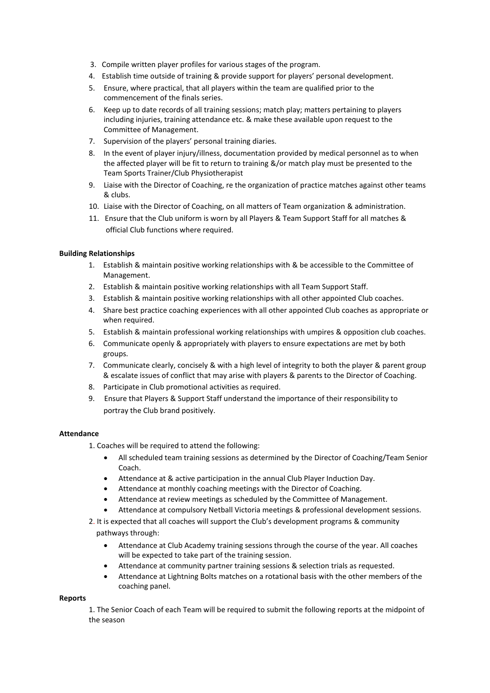- 3. Compile written player profiles for various stages of the program.
- 4. Establish time outside of training & provide support for players' personal development.
- 5. Ensure, where practical, that all players within the team are qualified prior to the commencement of the finals series.
- 6. Keep up to date records of all training sessions; match play; matters pertaining to players including injuries, training attendance etc. & make these available upon request to the Committee of Management.
- 7. Supervision of the players' personal training diaries.
- 8. In the event of player injury/illness, documentation provided by medical personnel as to when the affected player will be fit to return to training &/or match play must be presented to the Team Sports Trainer/Club Physiotherapist
- 9. Liaise with the Director of Coaching, re the organization of practice matches against other teams & clubs.
- 10. Liaise with the Director of Coaching, on all matters of Team organization & administration.
- 11. Ensure that the Club uniform is worn by all Players & Team Support Staff for all matches & official Club functions where required.

#### **Building Relationships**

- 1. Establish & maintain positive working relationships with & be accessible to the Committee of Management.
- 2. Establish & maintain positive working relationships with all Team Support Staff.
- 3. Establish & maintain positive working relationships with all other appointed Club coaches.
- 4. Share best practice coaching experiences with all other appointed Club coaches as appropriate or when required.
- 5. Establish & maintain professional working relationships with umpires & opposition club coaches.
- 6. Communicate openly & appropriately with players to ensure expectations are met by both groups.
- 7. Communicate clearly, concisely & with a high level of integrity to both the player & parent group & escalate issues of conflict that may arise with players & parents to the Director of Coaching.
- 8. Participate in Club promotional activities as required.
- 9. Ensure that Players & Support Staff understand the importance of their responsibility to portray the Club brand positively.

#### **Attendance**

1. Coaches will be required to attend the following:

- All scheduled team training sessions as determined by the Director of Coaching/Team Senior Coach.
- Attendance at & active participation in the annual Club Player Induction Day.
- Attendance at monthly coaching meetings with the Director of Coaching.
- Attendance at review meetings as scheduled by the Committee of Management.
- Attendance at compulsory Netball Victoria meetings & professional development sessions.
- 2. It is expected that all coaches will support the Club's development programs & community pathways through:
	- Attendance at Club Academy training sessions through the course of the year. All coaches will be expected to take part of the training session.
	- Attendance at community partner training sessions & selection trials as requested.
	- Attendance at Lightning Bolts matches on a rotational basis with the other members of the coaching panel.

#### **Reports**

1. The Senior Coach of each Team will be required to submit the following reports at the midpoint of the season